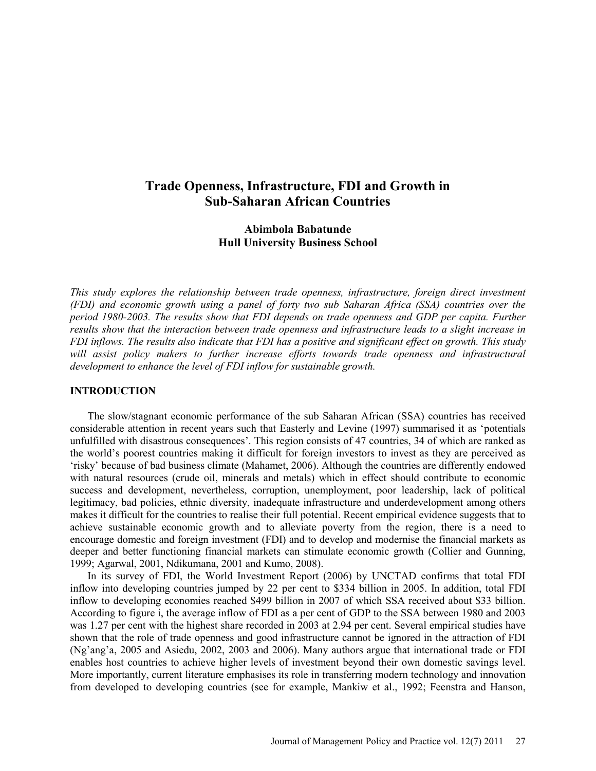# **Trade Openness, Infrastructure, FDI and Growth in Sub-Saharan African Countries**

## **Abimbola Babatunde Hull University Business School**

*This study explores the relationship between trade openness, infrastructure, foreign direct investment (FDI) and economic growth using a panel of forty two sub Saharan Africa (SSA) countries over the period 1980-2003. The results show that FDI depends on trade openness and GDP per capita. Further results show that the interaction between trade openness and infrastructure leads to a slight increase in FDI inflows. The results also indicate that FDI has a positive and significant effect on growth. This study*  will assist policy makers to further increase efforts towards trade openness and infrastructural *development to enhance the level of FDI inflow for sustainable growth.* 

### **INTRODUCTION**

The slow/stagnant economic performance of the sub Saharan African (SSA) countries has received considerable attention in recent years such that Easterly and Levine (1997) summarised it as 'potentials unfulfilled with disastrous consequences'. This region consists of 47 countries, 34 of which are ranked as the world's poorest countries making it difficult for foreign investors to invest as they are perceived as 'risky' because of bad business climate (Mahamet, 2006). Although the countries are differently endowed with natural resources (crude oil, minerals and metals) which in effect should contribute to economic success and development, nevertheless, corruption, unemployment, poor leadership, lack of political legitimacy, bad policies, ethnic diversity, inadequate infrastructure and underdevelopment among others makes it difficult for the countries to realise their full potential. Recent empirical evidence suggests that to achieve sustainable economic growth and to alleviate poverty from the region, there is a need to encourage domestic and foreign investment (FDI) and to develop and modernise the financial markets as deeper and better functioning financial markets can stimulate economic growth (Collier and Gunning, 1999; Agarwal, 2001, Ndikumana, 2001 and Kumo, 2008).

In its survey of FDI, the World Investment Report (2006) by UNCTAD confirms that total FDI inflow into developing countries jumped by 22 per cent to \$334 billion in 2005. In addition, total FDI inflow to developing economies reached \$499 billion in 2007 of which SSA received about \$33 billion. According to figure i, the average inflow of FDI as a per cent of GDP to the SSA between 1980 and 2003 was 1.27 per cent with the highest share recorded in 2003 at 2.94 per cent. Several empirical studies have shown that the role of trade openness and good infrastructure cannot be ignored in the attraction of FDI (Ng'ang'a, 2005 and Asiedu, 2002, 2003 and 2006). Many authors argue that international trade or FDI enables host countries to achieve higher levels of investment beyond their own domestic savings level. More importantly, current literature emphasises its role in transferring modern technology and innovation from developed to developing countries (see for example, Mankiw et al., 1992; Feenstra and Hanson,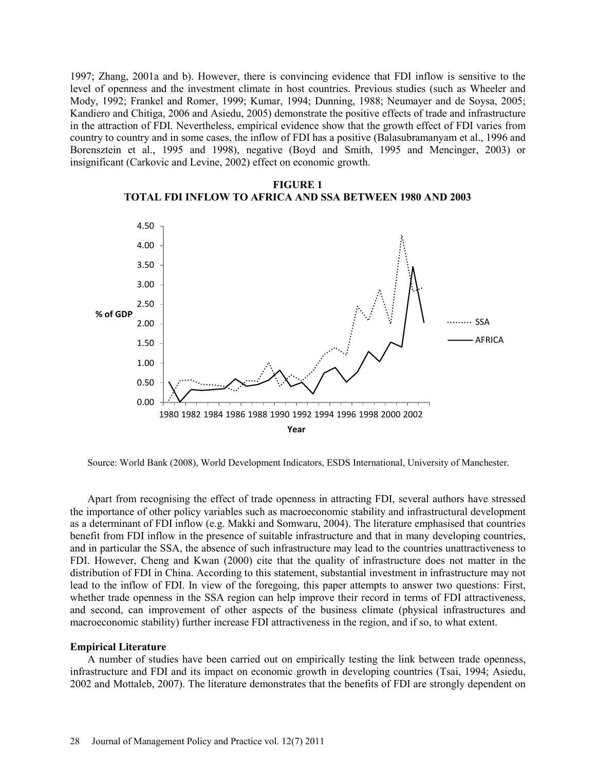1997; Zhang, 2001a and b). However, there is convincing evidence that FDI inflow is sensitive to the level of openness and the investment climate in host countries. Previous studies (such as Wheeler and Mody, 1992; Frankel and Romer, 1999; Kumar, 1994; Dunning, 1988; Neumayer and de Soysa, 2005; Kandiero and Chitiga, 2006 and Asiedu, 2005) demonstrate the positive effects of trade and infrastructure in the attraction of FDI. Nevertheless, empirical evidence show that the growth effect of FDI varies from country to country and in some cases, the inflow of FDI has a positive (Balasubramanyam et al., 1996 and Borensztein et al., 1995 and 1998), negative (Boyd and Smith, 1995 and Mencinger, 2003) or insignificant (Carkovic and Levine, 2002) effect on economic growth.



**FIGURE 1 TOTAL FDI INFLOW TO AFRICA AND SSA BETWEEN 1980 AND 2003**

Source: World Bank (2008), World Development Indicators, ESDS International, University of Manchester.

Apart from recognising the effect of trade openness in attracting FDI, several authors have stressed the importance of other policy variables such as macroeconomic stability and infrastructural development as a determinant of FDI inflow (e.g. Makki and Somwaru, 2004). The literature emphasised that countries benefit from FDI inflow in the presence of suitable infrastructure and that in many developing countries, and in particular the SSA, the absence of such infrastructure may lead to the countries unattractiveness to FDI. However, Cheng and Kwan (2000) cite that the quality of infrastructure does not matter in the distribution of FDI in China. According to this statement, substantial investment in infrastructure may not lead to the inflow of FDI. In view of the foregoing, this paper attempts to answer two questions: First, whether trade openness in the SSA region can help improve their record in terms of FDI attractiveness, and second, can improvement of other aspects of the business climate (physical infrastructures and macroeconomic stability) further increase FDI attractiveness in the region, and if so, to what extent.

### **Empirical Literature**

A number of studies have been carried out on empirically testing the link between trade openness, infrastructure and FDI and its impact on economic growth in developing countries (Tsai, 1994; Asiedu, 2002 and Mottaleb, 2007). The literature demonstrates that the benefits of FDI are strongly dependent on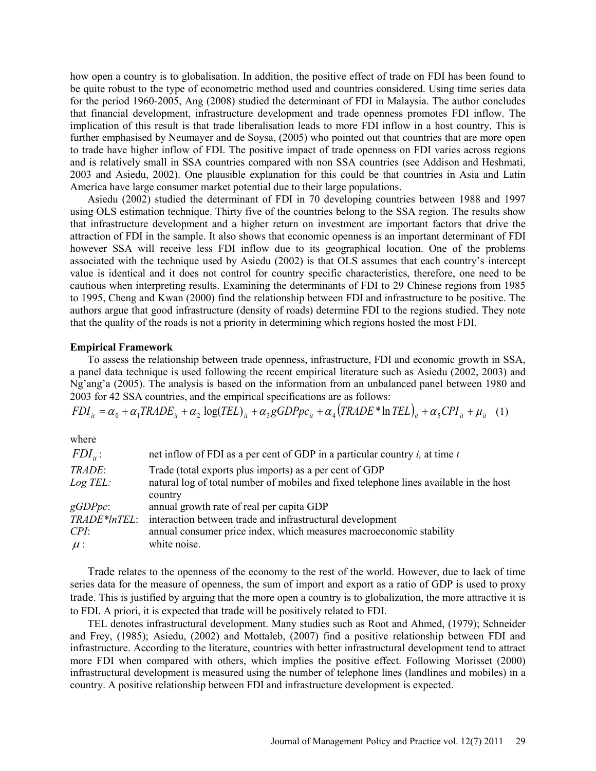how open a country is to globalisation. In addition, the positive effect of trade on FDI has been found to be quite robust to the type of econometric method used and countries considered. Using time series data for the period 1960-2005, Ang (2008) studied the determinant of FDI in Malaysia. The author concludes that financial development, infrastructure development and trade openness promotes FDI inflow. The implication of this result is that trade liberalisation leads to more FDI inflow in a host country. This is further emphasised by Neumayer and de Soysa, (2005) who pointed out that countries that are more open to trade have higher inflow of FDI. The positive impact of trade openness on FDI varies across regions and is relatively small in SSA countries compared with non SSA countries (see Addison and Heshmati, 2003 and Asiedu, 2002). One plausible explanation for this could be that countries in Asia and Latin America have large consumer market potential due to their large populations.

Asiedu (2002) studied the determinant of FDI in 70 developing countries between 1988 and 1997 using OLS estimation technique. Thirty five of the countries belong to the SSA region. The results show that infrastructure development and a higher return on investment are important factors that drive the attraction of FDI in the sample. It also shows that economic openness is an important determinant of FDI however SSA will receive less FDI inflow due to its geographical location. One of the problems associated with the technique used by Asiedu (2002) is that OLS assumes that each country's intercept value is identical and it does not control for country specific characteristics, therefore, one need to be cautious when interpreting results. Examining the determinants of FDI to 29 Chinese regions from 1985 to 1995, Cheng and Kwan (2000) find the relationship between FDI and infrastructure to be positive. The authors argue that good infrastructure (density of roads) determine FDI to the regions studied. They note that the quality of the roads is not a priority in determining which regions hosted the most FDI.

#### **Empirical Framework**

To assess the relationship between trade openness, infrastructure, FDI and economic growth in SSA, a panel data technique is used following the recent empirical literature such as Asiedu (2002, 2003) and Ng'ang'a (2005). The analysis is based on the information from an unbalanced panel between 1980 and 2003 for 42 SSA countries, and the empirical specifications are as follows:

 $FDI_{ii} = \alpha_0 + \alpha_1 TRADE_{ii} + \alpha_2 \log(TEL)_{ii} + \alpha_3 gGDPpc_{ii} + \alpha_4 (TRADE * ln TEL)_{ii} + \alpha_5 CPI_{ii} + \mu_{ii}$  (1)

where

| $FDI_{ii}$ : | net inflow of FDI as a per cent of GDP in a particular country $i$ , at time $t$       |
|--------------|----------------------------------------------------------------------------------------|
| TRADE:       | Trade (total exports plus imports) as a per cent of GDP                                |
| $Log$ TEL:   | natural log of total number of mobiles and fixed telephone lines available in the host |
|              | country                                                                                |
| $gGDPpc$ :   | annual growth rate of real per capita GDP                                              |
| TRADE*InTEL: | interaction between trade and infrastructural development                              |
| CPI:         | annual consumer price index, which measures macroeconomic stability                    |
| $\mu$ :      | white noise.                                                                           |

Trade relates to the openness of the economy to the rest of the world. However, due to lack of time series data for the measure of openness, the sum of import and export as a ratio of GDP is used to proxy trade. This is justified by arguing that the more open a country is to globalization, the more attractive it is to FDI. A priori, it is expected that trade will be positively related to FDI.

TEL denotes infrastructural development. Many studies such as Root and Ahmed, (1979); Schneider and Frey, (1985); Asiedu, (2002) and Mottaleb, (2007) find a positive relationship between FDI and infrastructure. According to the literature, countries with better infrastructural development tend to attract more FDI when compared with others, which implies the positive effect. Following Morisset (2000) infrastructural development is measured using the number of telephone lines (landlines and mobiles) in a country. A positive relationship between FDI and infrastructure development is expected.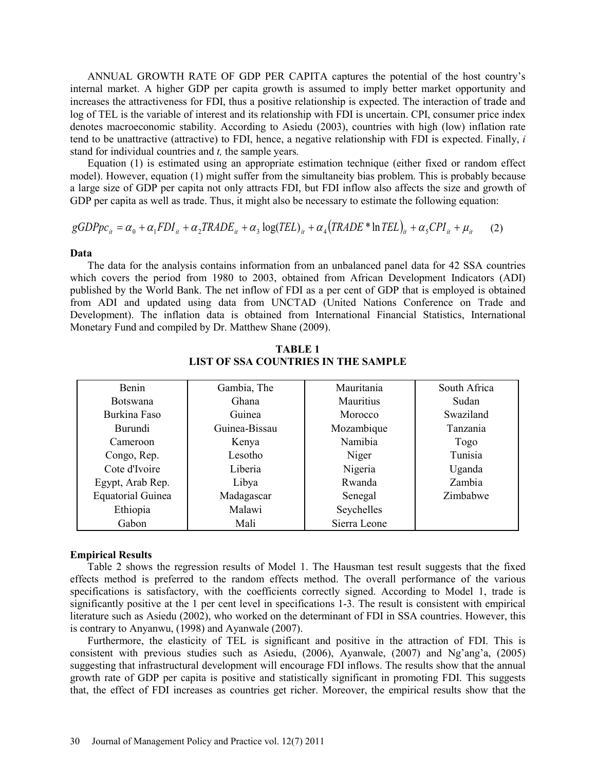ANNUAL GROWTH RATE OF GDP PER CAPITA captures the potential of the host country's internal market. A higher GDP per capita growth is assumed to imply better market opportunity and increases the attractiveness for FDI, thus a positive relationship is expected. The interaction of trade and log of TEL is the variable of interest and its relationship with FDI is uncertain. CPI, consumer price index denotes macroeconomic stability. According to Asiedu (2003), countries with high (low) inflation rate tend to be unattractive (attractive) to FDI, hence, a negative relationship with FDI is expected. Finally, *i*  stand for individual countries and *t,* the sample years*.*

Equation (1) is estimated using an appropriate estimation technique (either fixed or random effect model). However, equation (1) might suffer from the simultaneity bias problem. This is probably because a large size of GDP per capita not only attracts FDI, but FDI inflow also affects the size and growth of GDP per capita as well as trade. Thus, it might also be necessary to estimate the following equation:

$$
gGDPpc_{ii} = \alpha_0 + \alpha_1 FDI_{ii} + \alpha_2 TRADE_{ii} + \alpha_3 \log(TEL)_{ii} + \alpha_4 (TRADE * ln TEL)_{ii} + \alpha_5 CPI_{ii} + \mu_{ii} \tag{2}
$$

#### **Data**

The data for the analysis contains information from an unbalanced panel data for 42 SSA countries which covers the period from 1980 to 2003, obtained from African Development Indicators (ADI) published by the World Bank. The net inflow of FDI as a per cent of GDP that is employed is obtained from ADI and updated using data from UNCTAD (United Nations Conference on Trade and Development). The inflation data is obtained from International Financial Statistics, International Monetary Fund and compiled by Dr. Matthew Shane (2009).

| <b>Benin</b>             | Gambia, The   | Mauritania       | South Africa |
|--------------------------|---------------|------------------|--------------|
| <b>Botswana</b>          | Ghana         | <b>Mauritius</b> | Sudan        |
| Burkina Faso             | Guinea        | Morocco          | Swaziland    |
| <b>Burundi</b>           | Guinea-Bissau | Mozambique       | Tanzania     |
| Cameroon                 | Kenya         | Namibia          | Togo         |
| Congo, Rep.              | Lesotho       | Niger            | Tunisia      |
| Cote d'Ivoire            | Liberia       | Nigeria          | Uganda       |
| Egypt, Arab Rep.         | Libya         | Rwanda           | Zambia       |
| <b>Equatorial Guinea</b> | Madagascar    | Senegal          | Zimbabwe     |
| Ethiopia                 | Malawi        | Seychelles       |              |
| Gabon                    | Mali          | Sierra Leone     |              |

**TABLE 1 LIST OF SSA COUNTRIES IN THE SAMPLE**

#### **Empirical Results**

Table 2 shows the regression results of Model 1. The Hausman test result suggests that the fixed effects method is preferred to the random effects method. The overall performance of the various specifications is satisfactory, with the coefficients correctly signed. According to Model 1, trade is significantly positive at the 1 per cent level in specifications 1-3. The result is consistent with empirical literature such as Asiedu (2002), who worked on the determinant of FDI in SSA countries. However, this is contrary to Anyanwu, (1998) and Ayanwale (2007).

Furthermore, the elasticity of TEL is significant and positive in the attraction of FDI. This is consistent with previous studies such as Asiedu, (2006), Ayanwale, (2007) and Ng'ang'a, (2005) suggesting that infrastructural development will encourage FDI inflows. The results show that the annual growth rate of GDP per capita is positive and statistically significant in promoting FDI. This suggests that, the effect of FDI increases as countries get richer. Moreover, the empirical results show that the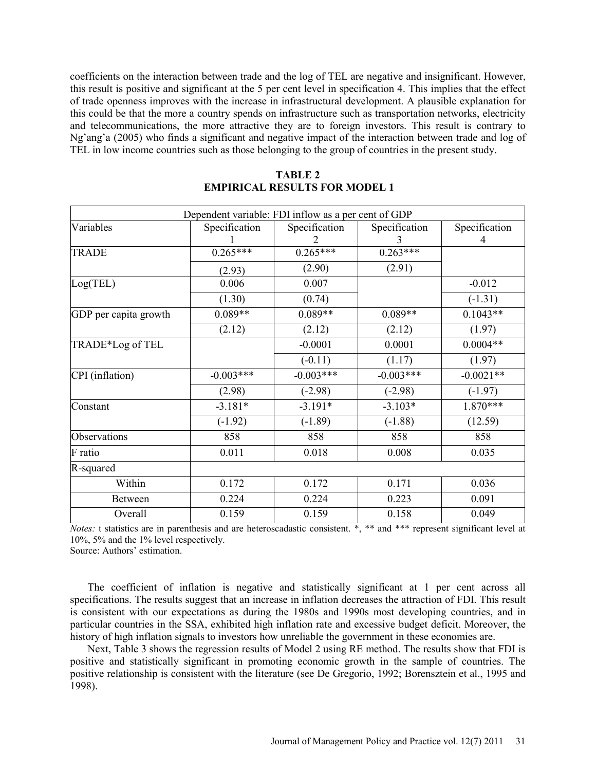coefficients on the interaction between trade and the log of TEL are negative and insignificant. However, this result is positive and significant at the 5 per cent level in specification 4. This implies that the effect of trade openness improves with the increase in infrastructural development. A plausible explanation for this could be that the more a country spends on infrastructure such as transportation networks, electricity and telecommunications, the more attractive they are to foreign investors. This result is contrary to Ng'ang'a (2005) who finds a significant and negative impact of the interaction between trade and log of TEL in low income countries such as those belonging to the group of countries in the present study.

| Dependent variable: FDI inflow as a per cent of GDP |               |               |               |                        |  |  |  |
|-----------------------------------------------------|---------------|---------------|---------------|------------------------|--|--|--|
| Variables                                           | Specification | Specification | Specification | Specification          |  |  |  |
|                                                     |               |               | 3             | 4                      |  |  |  |
| <b>TRADE</b>                                        | $0.265***$    | $0.265***$    | $0.263***$    |                        |  |  |  |
|                                                     | (2.93)        | (2.90)        | (2.91)        |                        |  |  |  |
| Log(TEL)                                            | 0.006         | 0.007         |               | $-0.012$               |  |  |  |
|                                                     | (1.30)        | (0.74)        |               | $(-1.31)$              |  |  |  |
| GDP per capita growth                               | $0.089**$     | $0.089**$     | $0.089**$     | $0.1043**$             |  |  |  |
|                                                     | (2.12)        | (2.12)        | (2.12)        | (1.97)                 |  |  |  |
| TRADE*Log of TEL                                    |               | $-0.0001$     | 0.0001        | $0.0004**$             |  |  |  |
|                                                     |               | $(-0.11)$     | (1.17)        | (1.97)                 |  |  |  |
| CPI (inflation)                                     | $-0.003***$   | $-0.003***$   | $-0.003***$   | $-0.002\overline{1**}$ |  |  |  |
|                                                     | (2.98)        | $(-2.98)$     | $(-2.98)$     | $(-1.97)$              |  |  |  |
| Constant                                            | $-3.181*$     | $-3.191*$     | $-3.103*$     | 1.870***               |  |  |  |
|                                                     | $(-1.92)$     | $(-1.89)$     | $(-1.88)$     | (12.59)                |  |  |  |
| Observations                                        | 858           | 858           | 858           | 858                    |  |  |  |
| F ratio                                             | 0.011         | 0.018         | 0.008         | 0.035                  |  |  |  |
| R-squared                                           |               |               |               |                        |  |  |  |
| Within                                              | 0.172         | 0.172         | 0.171         | 0.036                  |  |  |  |
| <b>Between</b>                                      | 0.224         | 0.224         | 0.223         | 0.091                  |  |  |  |
| Overall                                             | 0.159         | 0.159         | 0.158         | 0.049                  |  |  |  |

### **TABLE 2 EMPIRICAL RESULTS FOR MODEL 1**

*Notes:* t statistics are in parenthesis and are heteroscadastic consistent. \*, \*\* and \*\*\* represent significant level at 10%, 5% and the 1% level respectively.

Source: Authors' estimation.

The coefficient of inflation is negative and statistically significant at 1 per cent across all specifications. The results suggest that an increase in inflation decreases the attraction of FDI. This result is consistent with our expectations as during the 1980s and 1990s most developing countries, and in particular countries in the SSA, exhibited high inflation rate and excessive budget deficit. Moreover, the history of high inflation signals to investors how unreliable the government in these economies are.

Next, Table 3 shows the regression results of Model 2 using RE method. The results show that FDI is positive and statistically significant in promoting economic growth in the sample of countries. The positive relationship is consistent with the literature (see De Gregorio, 1992; Borensztein et al., 1995 and 1998).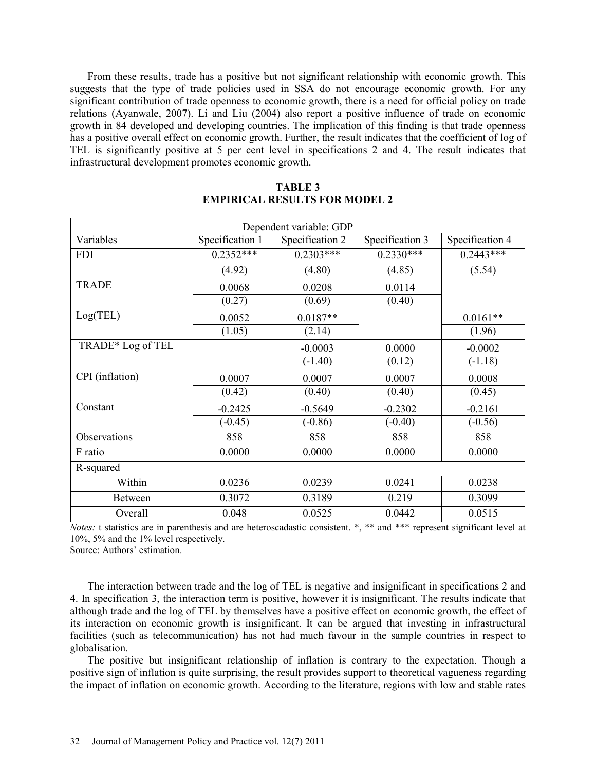From these results, trade has a positive but not significant relationship with economic growth. This suggests that the type of trade policies used in SSA do not encourage economic growth. For any significant contribution of trade openness to economic growth, there is a need for official policy on trade relations (Ayanwale, 2007). Li and Liu (2004) also report a positive influence of trade on economic growth in 84 developed and developing countries. The implication of this finding is that trade openness has a positive overall effect on economic growth. Further, the result indicates that the coefficient of log of TEL is significantly positive at 5 per cent level in specifications 2 and 4. The result indicates that infrastructural development promotes economic growth.

|                   |                 | Dependent variable: GDP |                 |                 |
|-------------------|-----------------|-------------------------|-----------------|-----------------|
| Variables         | Specification 1 | Specification 2         | Specification 3 | Specification 4 |
| <b>FDI</b>        | $0.2352***$     | $0.2303***$             | $0.2330***$     | $0.2443***$     |
|                   | (4.92)          | (4.80)                  | (4.85)          | (5.54)          |
| <b>TRADE</b>      | 0.0068          | 0.0208                  | 0.0114          |                 |
|                   | (0.27)          | (0.69)                  | (0.40)          |                 |
| Log(TEL)          | 0.0052          | $0.0187**$              |                 | $0.0161**$      |
|                   | (1.05)          | (2.14)                  |                 | (1.96)          |
| TRADE* Log of TEL |                 | $-0.0003$               | 0.0000          | $-0.0002$       |
|                   |                 | $(-1.40)$               | (0.12)          | $(-1.18)$       |
| CPI (inflation)   | 0.0007          | 0.0007                  | 0.0007          | 0.0008          |
|                   | (0.42)          | (0.40)                  | (0.40)          | (0.45)          |
| Constant          | $-0.2425$       | $-0.5649$               | $-0.2302$       | $-0.2161$       |
|                   | $(-0.45)$       | $(-0.86)$               | $(-0.40)$       | $(-0.56)$       |
| Observations      | 858             | 858                     | 858             | 858             |
| F ratio           | 0.0000          | 0.0000                  | 0.0000          | 0.0000          |
| R-squared         |                 |                         |                 |                 |
| Within            | 0.0236          | 0.0239                  | 0.0241          | 0.0238          |
| <b>Between</b>    | 0.3072          | 0.3189                  | 0.219           | 0.3099          |
| Overall           | 0.048           | 0.0525                  | 0.0442          | 0.0515          |

### **TABLE 3 EMPIRICAL RESULTS FOR MODEL 2**

*Notes:* **t** statistics are in parenthesis and are heteroscadastic consistent. \*, \*\* and \*\*\* represent significant level at 10%, 5% and the 1% level respectively.

Source: Authors' estimation.

The interaction between trade and the log of TEL is negative and insignificant in specifications 2 and 4. In specification 3, the interaction term is positive, however it is insignificant. The results indicate that although trade and the log of TEL by themselves have a positive effect on economic growth, the effect of its interaction on economic growth is insignificant. It can be argued that investing in infrastructural facilities (such as telecommunication) has not had much favour in the sample countries in respect to globalisation.

The positive but insignificant relationship of inflation is contrary to the expectation. Though a positive sign of inflation is quite surprising, the result provides support to theoretical vagueness regarding the impact of inflation on economic growth. According to the literature, regions with low and stable rates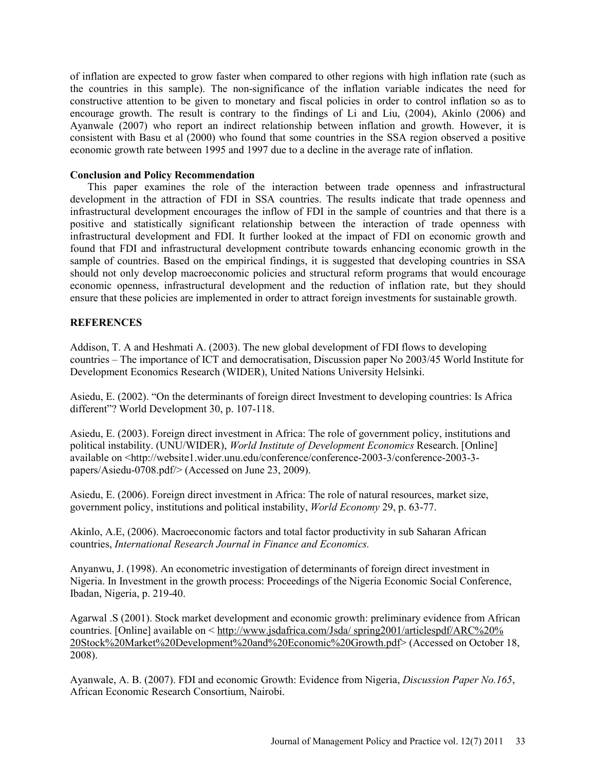of inflation are expected to grow faster when compared to other regions with high inflation rate (such as the countries in this sample). The non-significance of the inflation variable indicates the need for constructive attention to be given to monetary and fiscal policies in order to control inflation so as to encourage growth. The result is contrary to the findings of Li and Liu, (2004), Akinlo (2006) and Ayanwale (2007) who report an indirect relationship between inflation and growth. However, it is consistent with Basu et al (2000) who found that some countries in the SSA region observed a positive economic growth rate between 1995 and 1997 due to a decline in the average rate of inflation.

### **Conclusion and Policy Recommendation**

This paper examines the role of the interaction between trade openness and infrastructural development in the attraction of FDI in SSA countries. The results indicate that trade openness and infrastructural development encourages the inflow of FDI in the sample of countries and that there is a positive and statistically significant relationship between the interaction of trade openness with infrastructural development and FDI. It further looked at the impact of FDI on economic growth and found that FDI and infrastructural development contribute towards enhancing economic growth in the sample of countries. Based on the empirical findings, it is suggested that developing countries in SSA should not only develop macroeconomic policies and structural reform programs that would encourage economic openness, infrastructural development and the reduction of inflation rate, but they should ensure that these policies are implemented in order to attract foreign investments for sustainable growth.

### **REFERENCES**

Addison, T. A and Heshmati A. (2003). The new global development of FDI flows to developing countries – The importance of ICT and democratisation, Discussion paper No 2003/45 World Institute for Development Economics Research (WIDER), United Nations University Helsinki.

Asiedu, E. (2002). "On the determinants of foreign direct Investment to developing countries: Is Africa different"? World Development 30, p. 107-118.

Asiedu, E. (2003). Foreign direct investment in Africa: The role of government policy, institutions and political instability. (UNU/WIDER), *World Institute of Development Economics* Research. [Online] available on <http://website1.wider.unu.edu/conference/conference-2003-3/conference-2003-3 papers/Asiedu-0708.pdf/> (Accessed on June 23, 2009).

Asiedu, E. (2006). Foreign direct investment in Africa: The role of natural resources, market size, government policy, institutions and political instability, *World Economy* 29, p. 63-77.

Akinlo, A.E, (2006). Macroeconomic factors and total factor productivity in sub Saharan African countries, *International Research Journal in Finance and Economics.* 

Anyanwu, J. (1998). An econometric investigation of determinants of foreign direct investment in Nigeria. In Investment in the growth process: Proceedings of the Nigeria Economic Social Conference, Ibadan, Nigeria, p. 219-40.

Agarwal .S (2001). Stock market development and economic growth: preliminary evidence from African countries. [Online] available on < http://www.jsdafrica.com/Jsda/ spring2001/articlespdf/ARC%20% 20Stock%20Market%20Development%20and%20Economic%20Growth.pdf> (Accessed on October 18, 2008).

Ayanwale, A. B. (2007). FDI and economic Growth: Evidence from Nigeria, *Discussion Paper No.165*, African Economic Research Consortium, Nairobi.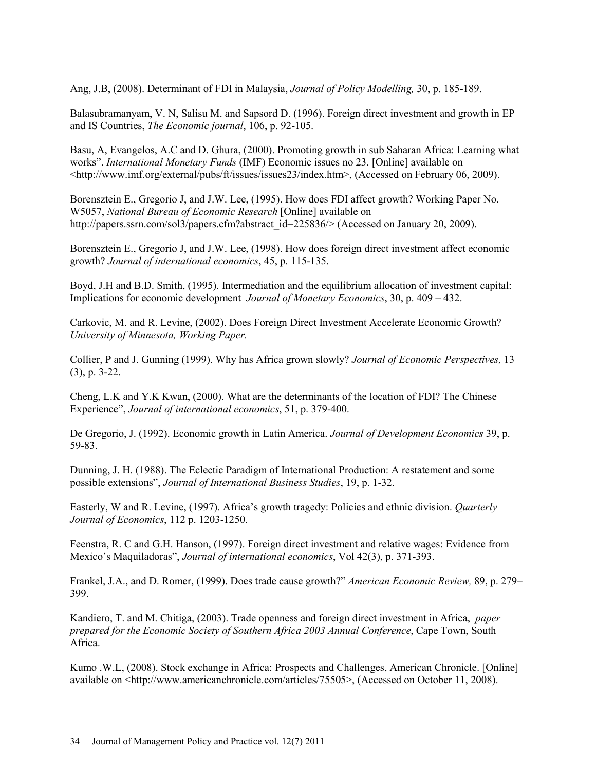Ang, J.B, (2008). Determinant of FDI in Malaysia, *Journal of Policy Modelling,* 30, p. 185-189.

Balasubramanyam, V. N, Salisu M. and Sapsord D. (1996). Foreign direct investment and growth in EP and IS Countries, *The Economic journal*, 106, p. 92-105.

Basu, A, Evangelos, A.C and D. Ghura, (2000). Promoting growth in sub Saharan Africa: Learning what works". *International Monetary Funds* (IMF) Economic issues no 23. [Online] available on <http://www.imf.org/external/pubs/ft/issues/issues23/index.htm>, (Accessed on February 06, 2009).

Borensztein E., Gregorio J, and J.W. Lee, (1995). How does FDI affect growth? Working Paper No. W5057, *National Bureau of Economic Research* [Online] available on http://papers.ssrn.com/sol3/papers.cfm?abstract\_id=225836/> (Accessed on January 20, 2009).

Borensztein E., Gregorio J, and J.W. Lee, (1998). How does foreign direct investment affect economic growth? *Journal of international economics*, 45, p. 115-135.

Boyd, J.H and B.D. Smith, (1995). Intermediation and the equilibrium allocation of investment capital: Implications for economic development *Journal of Monetary Economics*, 30, p. 409 – 432.

Carkovic, M. and R. Levine, (2002). Does Foreign Direct Investment Accelerate Economic Growth? *University of Minnesota, Working Paper.*

Collier, P and J. Gunning (1999). Why has Africa grown slowly? *Journal of Economic Perspectives,* 13 (3), p. 3-22.

Cheng, L.K and Y.K Kwan, (2000). What are the determinants of the location of FDI? The Chinese Experience", *Journal of international economics*, 51, p. 379-400.

De Gregorio, J. (1992). Economic growth in Latin America. *Journal of Development Economics* 39, p. 59-83.

Dunning, J. H. (1988). The Eclectic Paradigm of International Production: A restatement and some possible extensions", *Journal of International Business Studies*, 19, p. 1-32.

Easterly, W and R. Levine, (1997). Africa's growth tragedy: Policies and ethnic division. *Quarterly Journal of Economics*, 112 p. 1203-1250.

Feenstra, R. C and G.H. Hanson, (1997). Foreign direct investment and relative wages: Evidence from Mexico's Maquiladoras", *Journal of international economics*, Vol 42(3), p. 371-393.

Frankel, J.A., and D. Romer, (1999). Does trade cause growth?" *American Economic Review,* 89, p. 279– 399.

Kandiero, T. and M. Chitiga, (2003). Trade openness and foreign direct investment in Africa, *paper prepared for the Economic Society of Southern Africa 2003 Annual Conference*, Cape Town, South Africa.

Kumo .W.L, (2008). Stock exchange in Africa: Prospects and Challenges, American Chronicle. [Online] available on <http://www.americanchronicle.com/articles/75505>, (Accessed on October 11, 2008).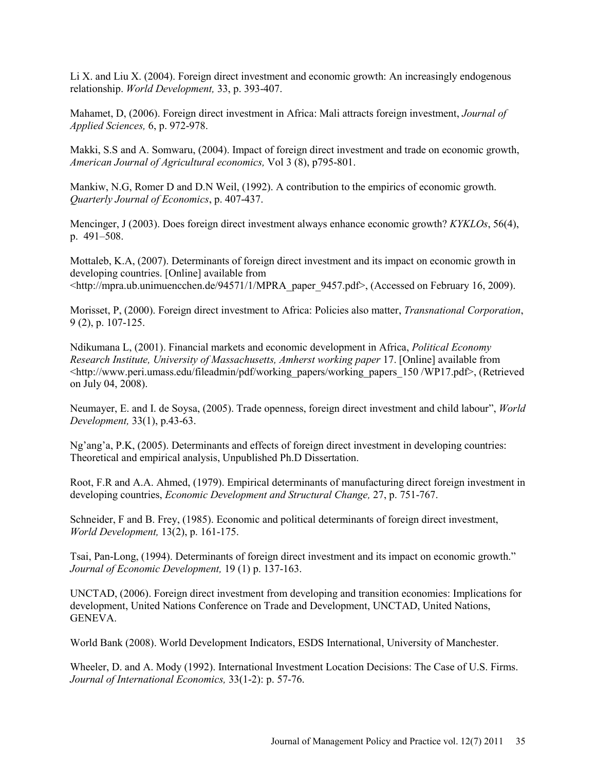Li X. and Liu X. (2004). Foreign direct investment and economic growth: An increasingly endogenous relationship. *World Development,* 33, p. 393-407.

Mahamet, D, (2006). Foreign direct investment in Africa: Mali attracts foreign investment, *Journal of Applied Sciences,* 6, p. 972-978.

Makki, S.S and A. Somwaru, (2004). Impact of foreign direct investment and trade on economic growth, *American Journal of Agricultural economics,* Vol 3 (8), p795-801.

Mankiw, N.G, Romer D and D.N Weil, (1992). A contribution to the empirics of economic growth. *Quarterly Journal of Economics*, p. 407-437.

Mencinger, J (2003). Does foreign direct investment always enhance economic growth? *KYKLOs*, 56(4), p. 491–508.

Mottaleb, K.A, (2007). Determinants of foreign direct investment and its impact on economic growth in developing countries. [Online] available from <http://mpra.ub.unimuencchen.de/94571/1/MPRA\_paper\_9457.pdf>, (Accessed on February 16, 2009).

Morisset, P, (2000). Foreign direct investment to Africa: Policies also matter, *Transnational Corporation*, 9 (2), p. 107-125.

Ndikumana L, (2001). Financial markets and economic development in Africa, *Political Economy Research Institute, University of Massachusetts, Amherst working paper* 17. [Online] available from <http://www.peri.umass.edu/fileadmin/pdf/working\_papers/working\_papers\_150 /WP17.pdf>, (Retrieved on July 04, 2008).

Neumayer, E. and I. de Soysa, (2005). Trade openness, foreign direct investment and child labour", *World Development,* 33(1), p.43-63.

Ng'ang'a, P.K, (2005). Determinants and effects of foreign direct investment in developing countries: Theoretical and empirical analysis, Unpublished Ph.D Dissertation.

Root, F.R and A.A. Ahmed, (1979). Empirical determinants of manufacturing direct foreign investment in developing countries, *Economic Development and Structural Change,* 27, p. 751-767.

Schneider, F and B. Frey, (1985). Economic and political determinants of foreign direct investment, *World Development,* 13(2), p. 161-175.

Tsai, Pan-Long, (1994). Determinants of foreign direct investment and its impact on economic growth." *Journal of Economic Development,* 19 (1) p. 137-163.

UNCTAD, (2006). Foreign direct investment from developing and transition economies: Implications for development, United Nations Conference on Trade and Development, UNCTAD, United Nations, **GENEVA** 

World Bank (2008). World Development Indicators, ESDS International, University of Manchester.

Wheeler, D. and A. Mody (1992). International Investment Location Decisions: The Case of U.S. Firms. *Journal of International Economics,* 33(1-2): p. 57-76.